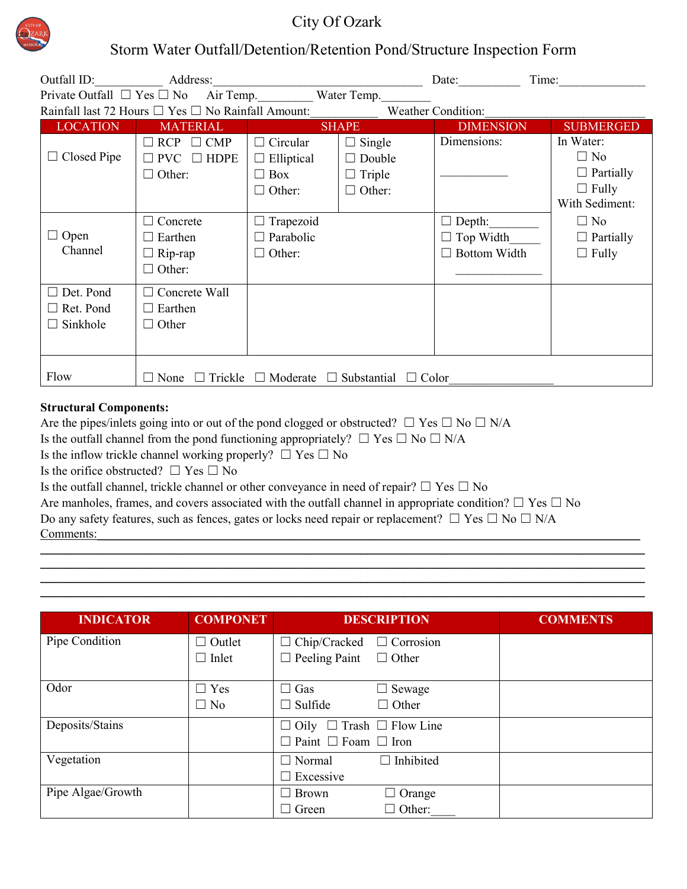

## City Of Ozark

## Storm Water Outfall/Detention/Retention Pond/Structure Inspection Form

| Outfall ID: Address:                                                                      |                                                                                                                        |                                                                                                                       |                                                                  | Date:                                                                 | Time:                                                                                                                         |
|-------------------------------------------------------------------------------------------|------------------------------------------------------------------------------------------------------------------------|-----------------------------------------------------------------------------------------------------------------------|------------------------------------------------------------------|-----------------------------------------------------------------------|-------------------------------------------------------------------------------------------------------------------------------|
| Private Outfall $\Box$ Yes $\Box$ No Air Temp. Water Temp.                                |                                                                                                                        |                                                                                                                       |                                                                  |                                                                       |                                                                                                                               |
| Rainfall last 72 Hours $\Box$ Yes $\Box$ No Rainfall Amount:<br><b>Weather Condition:</b> |                                                                                                                        |                                                                                                                       |                                                                  |                                                                       |                                                                                                                               |
| <b>LOCATION</b>                                                                           | <b>MATERIAL</b>                                                                                                        |                                                                                                                       | <b>SHAPE</b>                                                     | <b>DIMENSION</b>                                                      | <b>SUBMERGED</b>                                                                                                              |
| Closed Pipe<br>$\Box$<br>$\Box$ Open<br>Channel                                           | $\Box$ RCP $\Box$ CMP<br>$\square$ PVC $\square$ HDPE<br>$\Box$ Other:<br>Concrete<br>$\Box$ Earthen<br>$\Box$ Rip-rap | $\Box$ Circular<br>$\Box$ Elliptical<br>$\Box$ Box<br>$\Box$ Other:<br>Trapezoid<br>$\Box$ Parabolic<br>$\Box$ Other: | $\Box$ Single<br>$\Box$ Double<br>$\Box$ Triple<br>$\Box$ Other: | Dimensions:<br>$\Box$ Depth:<br>$\Box$ Top Width<br>Bottom Width<br>П | In Water:<br>$\Box$ No<br>$\Box$ Partially<br>$\Box$ Fully<br>With Sediment:<br>$\Box$ No<br>$\Box$ Partially<br>$\Box$ Fully |
| Det. Pond<br>$\Box$ Ret. Pond<br>Sinkhole                                                 | $\Box$ Other:<br>$\Box$ Concrete Wall<br>$\Box$ Earthen<br>$\Box$ Other                                                |                                                                                                                       |                                                                  |                                                                       |                                                                                                                               |
| Flow                                                                                      | Trickle<br>Moderate<br>Substantial $\Box$ Color<br>$\Box$ None<br>$\perp$<br>$\perp$<br>$\Box$                         |                                                                                                                       |                                                                  |                                                                       |                                                                                                                               |

## **Structural Components:**

Are the pipes/inlets going into or out of the pond clogged or obstructed?  $\Box$  Yes  $\Box$  No  $\Box$  N/A Is the outfall channel from the pond functioning appropriately?  $\Box$  Yes  $\Box$  No  $\Box$  N/A Is the inflow trickle channel working properly?  $\Box$  Yes  $\Box$  No Is the orifice obstructed?  $□$  Yes  $□$  No Is the outfall channel, trickle channel or other conveyance in need of repair?  $\Box$  Yes  $\Box$  No Are manholes, frames, and covers associated with the outfall channel in appropriate condition?  $\Box$  Yes  $\Box$  No Do any safety features, such as fences, gates or locks need repair or replacement?  $\Box$  Yes  $\Box$  No  $\Box$  N/A Comments: \_\_\_\_\_\_\_\_\_\_\_\_\_\_\_\_\_\_\_\_\_\_\_\_\_\_\_\_\_\_\_\_\_\_\_\_\_\_\_\_\_\_\_\_\_\_\_\_\_\_\_\_\_\_\_\_\_\_\_\_\_\_\_\_\_\_\_\_\_\_\_\_\_\_\_\_\_\_\_\_\_\_\_\_\_\_\_\_\_\_\_\_\_\_\_\_\_\_

| <b>INDICATOR</b>  | <b>COMPONET</b> |                                           | <b>DESCRIPTION</b> | <b>COMMENTS</b> |
|-------------------|-----------------|-------------------------------------------|--------------------|-----------------|
| Pipe Condition    | $\Box$ Outlet   | $\Box$ Chip/Cracked                       | $\Box$ Corrosion   |                 |
|                   | $\Box$ Inlet    | $\Box$ Peeling Paint                      | $\Box$ Other       |                 |
| Odor              | $\Box$ Yes      | $\Box$ Gas                                | $\Box$ Sewage      |                 |
|                   | $\Box$ No       | $\Box$ Sulfide                            | $\Box$ Other       |                 |
| Deposits/Stains   |                 | $\Box$ Oily $\Box$ Trash $\Box$ Flow Line |                    |                 |
|                   |                 | $\Box$ Paint $\Box$ Foam $\Box$ Iron      |                    |                 |
| Vegetation        |                 | $\Box$ Normal                             | Inhibited          |                 |
|                   |                 | Excessive                                 |                    |                 |
| Pipe Algae/Growth |                 | $\Box$ Brown                              | $\Box$ Orange      |                 |
|                   |                 | Green                                     | $\Box$ Other:      |                 |

\_\_\_\_\_\_\_\_\_\_\_\_\_\_\_\_\_\_\_\_\_\_\_\_\_\_\_\_\_\_\_\_\_\_\_\_\_\_\_\_\_\_\_\_\_\_\_\_\_\_\_\_\_\_\_\_\_\_\_\_\_\_\_\_\_\_\_\_\_\_\_\_\_\_\_\_\_\_\_\_\_\_\_\_\_\_\_\_\_\_\_\_\_\_\_\_\_\_ \_\_\_\_\_\_\_\_\_\_\_\_\_\_\_\_\_\_\_\_\_\_\_\_\_\_\_\_\_\_\_\_\_\_\_\_\_\_\_\_\_\_\_\_\_\_\_\_\_\_\_\_\_\_\_\_\_\_\_\_\_\_\_\_\_\_\_\_\_\_\_\_\_\_\_\_\_\_\_\_\_\_\_\_\_\_\_\_\_\_\_\_\_\_\_\_\_\_ \_\_\_\_\_\_\_\_\_\_\_\_\_\_\_\_\_\_\_\_\_\_\_\_\_\_\_\_\_\_\_\_\_\_\_\_\_\_\_\_\_\_\_\_\_\_\_\_\_\_\_\_\_\_\_\_\_\_\_\_\_\_\_\_\_\_\_\_\_\_\_\_\_\_\_\_\_\_\_\_\_\_\_\_\_\_\_\_\_\_\_\_\_\_\_\_\_\_